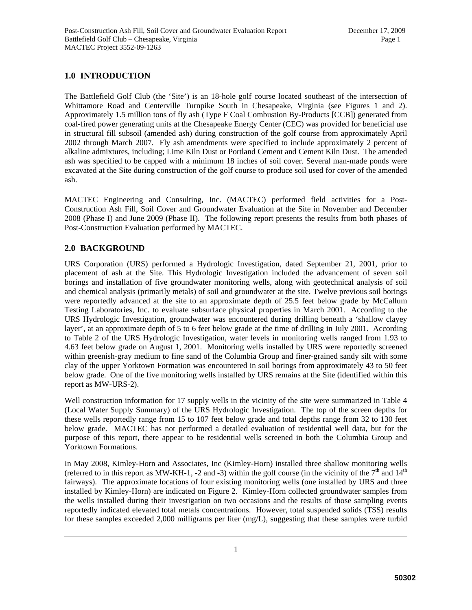# **1.0 INTRODUCTION**

The Battlefield Golf Club (the 'Site') is an 18-hole golf course located southeast of the intersection of Whittamore Road and Centerville Turnpike South in Chesapeake, Virginia (see Figures 1 and 2). Approximately 1.5 million tons of fly ash (Type F Coal Combustion By-Products [CCB]) generated from coal-fired power generating units at the Chesapeake Energy Center (CEC) was provided for beneficial use in structural fill subsoil (amended ash) during construction of the golf course from approximately April 2002 through March 2007. Fly ash amendments were specified to include approximately 2 percent of alkaline admixtures, including; Lime Kiln Dust or Portland Cement and Cement Kiln Dust. The amended ash was specified to be capped with a minimum 18 inches of soil cover. Several man-made ponds were excavated at the Site during construction of the golf course to produce soil used for cover of the amended ash.

MACTEC Engineering and Consulting, Inc. (MACTEC) performed field activities for a Post-Construction Ash Fill, Soil Cover and Groundwater Evaluation at the Site in November and December 2008 (Phase I) and June 2009 (Phase II). The following report presents the results from both phases of Post-Construction Evaluation performed by MACTEC.

# **2.0 BACKGROUND**

URS Corporation (URS) performed a Hydrologic Investigation, dated September 21, 2001, prior to placement of ash at the Site. This Hydrologic Investigation included the advancement of seven soil borings and installation of five groundwater monitoring wells, along with geotechnical analysis of soil and chemical analysis (primarily metals) of soil and groundwater at the site. Twelve previous soil borings were reportedly advanced at the site to an approximate depth of 25.5 feet below grade by McCallum Testing Laboratories, Inc. to evaluate subsurface physical properties in March 2001. According to the URS Hydrologic Investigation, groundwater was encountered during drilling beneath a 'shallow clayey layer', at an approximate depth of 5 to 6 feet below grade at the time of drilling in July 2001. According to Table 2 of the URS Hydrologic Investigation, water levels in monitoring wells ranged from 1.93 to 4.63 feet below grade on August 1, 2001. Monitoring wells installed by URS were reportedly screened within greenish-gray medium to fine sand of the Columbia Group and finer-grained sandy silt with some clay of the upper Yorktown Formation was encountered in soil borings from approximately 43 to 50 feet below grade. One of the five monitoring wells installed by URS remains at the Site (identified within this report as MW-URS-2).

Well construction information for 17 supply wells in the vicinity of the site were summarized in Table 4 (Local Water Supply Summary) of the URS Hydrologic Investigation. The top of the screen depths for these wells reportedly range from 15 to 107 feet below grade and total depths range from 32 to 130 feet below grade. MACTEC has not performed a detailed evaluation of residential well data, but for the purpose of this report, there appear to be residential wells screened in both the Columbia Group and Yorktown Formations.

In May 2008, Kimley-Horn and Associates, Inc (Kimley-Horn) installed three shallow monitoring wells (referred to in this report as MW-KH-1, -2 and -3) within the golf course (in the vicinity of the  $7<sup>th</sup>$  and  $14<sup>th</sup>$ fairways). The approximate locations of four existing monitoring wells (one installed by URS and three installed by Kimley-Horn) are indicated on Figure 2. Kimley-Horn collected groundwater samples from the wells installed during their investigation on two occasions and the results of those sampling events reportedly indicated elevated total metals concentrations. However, total suspended solids (TSS) results for these samples exceeded 2,000 milligrams per liter (mg/L), suggesting that these samples were turbid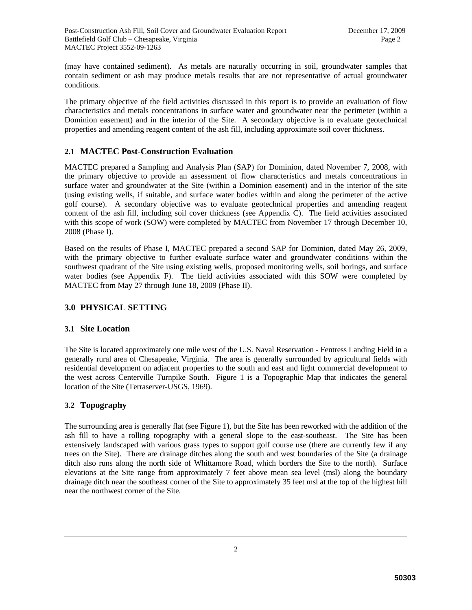(may have contained sediment). As metals are naturally occurring in soil, groundwater samples that contain sediment or ash may produce metals results that are not representative of actual groundwater conditions.

The primary objective of the field activities discussed in this report is to provide an evaluation of flow characteristics and metals concentrations in surface water and groundwater near the perimeter (within a Dominion easement) and in the interior of the Site. A secondary objective is to evaluate geotechnical properties and amending reagent content of the ash fill, including approximate soil cover thickness.

### **2.1 MACTEC Post-Construction Evaluation**

MACTEC prepared a Sampling and Analysis Plan (SAP) for Dominion, dated November 7, 2008, with the primary objective to provide an assessment of flow characteristics and metals concentrations in surface water and groundwater at the Site (within a Dominion easement) and in the interior of the site (using existing wells, if suitable, and surface water bodies within and along the perimeter of the active golf course). A secondary objective was to evaluate geotechnical properties and amending reagent content of the ash fill, including soil cover thickness (see Appendix C). The field activities associated with this scope of work (SOW) were completed by MACTEC from November 17 through December 10, 2008 (Phase I).

Based on the results of Phase I, MACTEC prepared a second SAP for Dominion, dated May 26, 2009, with the primary objective to further evaluate surface water and groundwater conditions within the southwest quadrant of the Site using existing wells, proposed monitoring wells, soil borings, and surface water bodies (see Appendix F). The field activities associated with this SOW were completed by MACTEC from May 27 through June 18, 2009 (Phase II).

# **3.0 PHYSICAL SETTING**

### **3.1 Site Location**

The Site is located approximately one mile west of the U.S. Naval Reservation - Fentress Landing Field in a generally rural area of Chesapeake, Virginia. The area is generally surrounded by agricultural fields with residential development on adjacent properties to the south and east and light commercial development to the west across Centerville Turnpike South. Figure 1 is a Topographic Map that indicates the general location of the Site (Terraserver-USGS, 1969).

### **3.2 Topography**

The surrounding area is generally flat (see Figure 1), but the Site has been reworked with the addition of the ash fill to have a rolling topography with a general slope to the east-southeast. The Site has been extensively landscaped with various grass types to support golf course use (there are currently few if any trees on the Site). There are drainage ditches along the south and west boundaries of the Site (a drainage ditch also runs along the north side of Whittamore Road, which borders the Site to the north). Surface elevations at the Site range from approximately 7 feet above mean sea level (msl) along the boundary drainage ditch near the southeast corner of the Site to approximately 35 feet msl at the top of the highest hill near the northwest corner of the Site.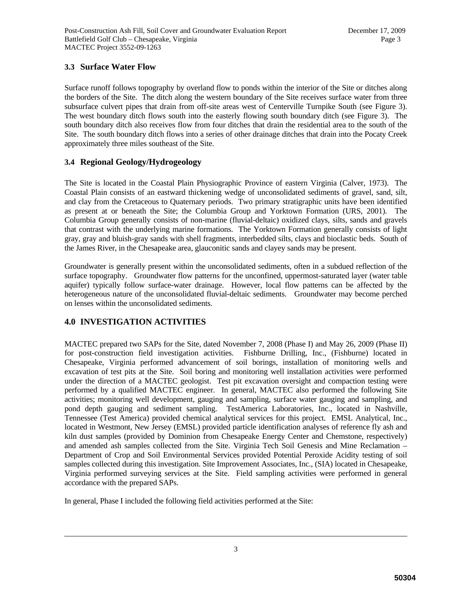### **3.3 Surface Water Flow**

Surface runoff follows topography by overland flow to ponds within the interior of the Site or ditches along the borders of the Site. The ditch along the western boundary of the Site receives surface water from three subsurface culvert pipes that drain from off-site areas west of Centerville Turnpike South (see Figure 3). The west boundary ditch flows south into the easterly flowing south boundary ditch (see Figure 3). The south boundary ditch also receives flow from four ditches that drain the residential area to the south of the Site. The south boundary ditch flows into a series of other drainage ditches that drain into the Pocaty Creek approximately three miles southeast of the Site.

### **3.4 Regional Geology/Hydrogeology**

The Site is located in the Coastal Plain Physiographic Province of eastern Virginia (Calver, 1973). The Coastal Plain consists of an eastward thickening wedge of unconsolidated sediments of gravel, sand, silt, and clay from the Cretaceous to Quaternary periods. Two primary stratigraphic units have been identified as present at or beneath the Site; the Columbia Group and Yorktown Formation (URS, 2001). The Columbia Group generally consists of non-marine (fluvial-deltaic) oxidized clays, silts, sands and gravels that contrast with the underlying marine formations. The Yorktown Formation generally consists of light gray, gray and bluish-gray sands with shell fragments, interbedded silts, clays and bioclastic beds. South of the James River, in the Chesapeake area, glauconitic sands and clayey sands may be present.

Groundwater is generally present within the unconsolidated sediments, often in a subdued reflection of the surface topography. Groundwater flow patterns for the unconfined, uppermost-saturated layer (water table aquifer) typically follow surface-water drainage. However, local flow patterns can be affected by the heterogeneous nature of the unconsolidated fluvial-deltaic sediments. Groundwater may become perched on lenses within the unconsolidated sediments.

# **4.0 INVESTIGATION ACTIVITIES**

MACTEC prepared two SAPs for the Site, dated November 7, 2008 (Phase I) and May 26, 2009 (Phase II) for post-construction field investigation activities. Fishburne Drilling, Inc., (Fishburne) located in Chesapeake, Virginia performed advancement of soil borings, installation of monitoring wells and excavation of test pits at the Site. Soil boring and monitoring well installation activities were performed under the direction of a MACTEC geologist. Test pit excavation oversight and compaction testing were performed by a qualified MACTEC engineer. In general, MACTEC also performed the following Site activities; monitoring well development, gauging and sampling, surface water gauging and sampling, and pond depth gauging and sediment sampling. TestAmerica Laboratories, Inc., located in Nashville, Tennessee (Test America) provided chemical analytical services for this project. EMSL Analytical, Inc., located in Westmont, New Jersey (EMSL) provided particle identification analyses of reference fly ash and kiln dust samples (provided by Dominion from Chesapeake Energy Center and Chemstone, respectively) and amended ash samples collected from the Site. Virginia Tech Soil Genesis and Mine Reclamation – Department of Crop and Soil Environmental Services provided Potential Peroxide Acidity testing of soil samples collected during this investigation. Site Improvement Associates, Inc., (SIA) located in Chesapeake, Virginia performed surveying services at the Site. Field sampling activities were performed in general accordance with the prepared SAPs.

In general, Phase I included the following field activities performed at the Site: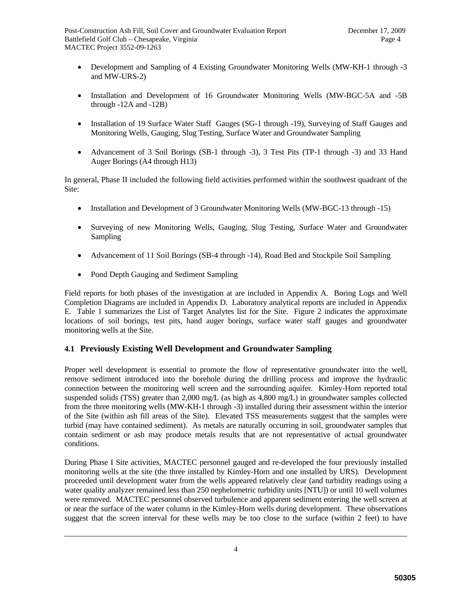- Development and Sampling of 4 Existing Groundwater Monitoring Wells (MW-KH-1 through -3 and MW-URS-2)
- Installation and Development of 16 Groundwater Monitoring Wells (MW-BGC-5A and -5B through -12A and -12B)
- Installation of 19 Surface Water Staff Gauges (SG-1 through -19), Surveying of Staff Gauges and Monitoring Wells, Gauging, Slug Testing, Surface Water and Groundwater Sampling
- Advancement of 3 Soil Borings (SB-1 through -3), 3 Test Pits (TP-1 through -3) and 33 Hand Auger Borings (A4 through H13)

In general, Phase II included the following field activities performed within the southwest quadrant of the Site:

- Installation and Development of 3 Groundwater Monitoring Wells (MW-BGC-13 through -15)
- Surveying of new Monitoring Wells, Gauging, Slug Testing, Surface Water and Groundwater Sampling
- Advancement of 11 Soil Borings (SB-4 through -14), Road Bed and Stockpile Soil Sampling
- Pond Depth Gauging and Sediment Sampling

Field reports for both phases of the investigation at are included in Appendix A. Boring Logs and Well Completion Diagrams are included in Appendix D. Laboratory analytical reports are included in Appendix E. Table 1 summarizes the List of Target Analytes list for the Site. Figure 2 indicates the approximate locations of soil borings, test pits, hand auger borings, surface water staff gauges and groundwater monitoring wells at the Site.

# **4.1 Previously Existing Well Development and Groundwater Sampling**

Proper well development is essential to promote the flow of representative groundwater into the well, remove sediment introduced into the borehole during the drilling process and improve the hydraulic connection between the monitoring well screen and the surrounding aquifer. Kimley-Horn reported total suspended solids (TSS) greater than 2,000 mg/L (as high as 4,800 mg/L) in groundwater samples collected from the three monitoring wells (MW-KH-1 through -3) installed during their assessment within the interior of the Site (within ash fill areas of the Site). Elevated TSS measurements suggest that the samples were turbid (may have contained sediment). As metals are naturally occurring in soil, groundwater samples that contain sediment or ash may produce metals results that are not representative of actual groundwater conditions.

During Phase I Site activities, MACTEC personnel gauged and re-developed the four previously installed monitoring wells at the site (the three installed by Kimley-Horn and one installed by URS). Development proceeded until development water from the wells appeared relatively clear (and turbidity readings using a water quality analyzer remained less than 250 nephelometric turbidity units [NTU]) or until 10 well volumes were removed. MACTEC personnel observed turbulence and apparent sediment entering the well screen at or near the surface of the water column in the Kimley-Horn wells during development. These observations suggest that the screen interval for these wells may be too close to the surface (within 2 feet) to have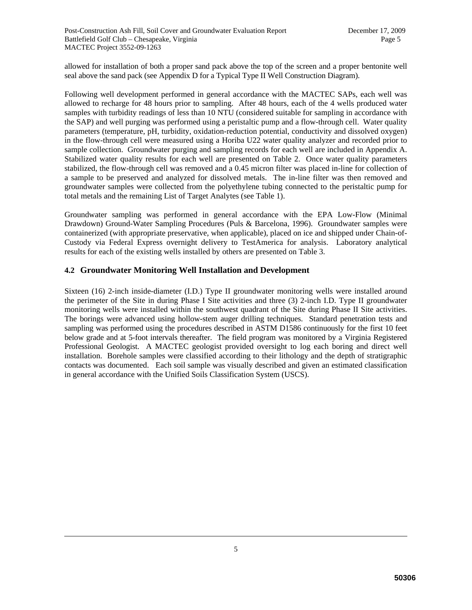allowed for installation of both a proper sand pack above the top of the screen and a proper bentonite well seal above the sand pack (see Appendix D for a Typical Type II Well Construction Diagram).

Following well development performed in general accordance with the MACTEC SAPs, each well was allowed to recharge for 48 hours prior to sampling. After 48 hours, each of the 4 wells produced water samples with turbidity readings of less than 10 NTU (considered suitable for sampling in accordance with the SAP) and well purging was performed using a peristaltic pump and a flow-through cell. Water quality parameters (temperature, pH, turbidity, oxidation-reduction potential, conductivity and dissolved oxygen) in the flow-through cell were measured using a Horiba U22 water quality analyzer and recorded prior to sample collection. Groundwater purging and sampling records for each well are included in Appendix A. Stabilized water quality results for each well are presented on Table 2. Once water quality parameters stabilized, the flow-through cell was removed and a 0.45 micron filter was placed in-line for collection of a sample to be preserved and analyzed for dissolved metals. The in-line filter was then removed and groundwater samples were collected from the polyethylene tubing connected to the peristaltic pump for total metals and the remaining List of Target Analytes (see Table 1).

Groundwater sampling was performed in general accordance with the EPA Low-Flow (Minimal Drawdown) Ground-Water Sampling Procedures (Puls & Barcelona, 1996). Groundwater samples were containerized (with appropriate preservative, when applicable), placed on ice and shipped under Chain-of-Custody via Federal Express overnight delivery to TestAmerica for analysis. Laboratory analytical results for each of the existing wells installed by others are presented on Table 3.

### **4.2 Groundwater Monitoring Well Installation and Development**

Sixteen (16) 2-inch inside-diameter (I.D.) Type II groundwater monitoring wells were installed around the perimeter of the Site in during Phase I Site activities and three (3) 2-inch I.D. Type II groundwater monitoring wells were installed within the southwest quadrant of the Site during Phase II Site activities. The borings were advanced using hollow-stem auger drilling techniques. Standard penetration tests and sampling was performed using the procedures described in ASTM D1586 continuously for the first 10 feet below grade and at 5-foot intervals thereafter. The field program was monitored by a Virginia Registered Professional Geologist. A MACTEC geologist provided oversight to log each boring and direct well installation. Borehole samples were classified according to their lithology and the depth of stratigraphic contacts was documented. Each soil sample was visually described and given an estimated classification in general accordance with the Unified Soils Classification System (USCS).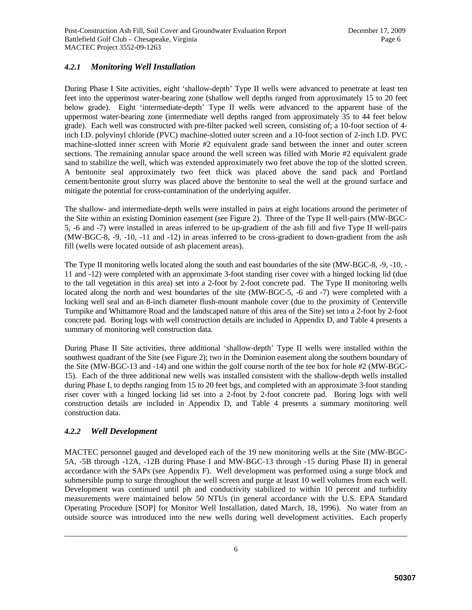# *4.2.1 Monitoring Well Installation*

During Phase I Site activities, eight 'shallow-depth' Type II wells were advanced to penetrate at least ten feet into the uppermost water-bearing zone (shallow well depths ranged from approximately 15 to 20 feet below grade). Eight 'intermediate-depth' Type II wells were advanced to the apparent base of the uppermost water-bearing zone (intermediate well depths ranged from approximately 35 to 44 feet below grade). Each well was constructed with pre-filter packed well screen, consisting of; a 10-foot section of 4 inch I.D. polyvinyl chloride (PVC) machine-slotted outer screen and a 10-foot section of 2-inch I.D. PVC machine-slotted inner screen with Morie #2 equivalent grade sand between the inner and outer screen sections. The remaining annular space around the well screen was filled with Morie #2 equivalent grade sand to stabilize the well, which was extended approximately two feet above the top of the slotted screen. A bentonite seal approximately two feet thick was placed above the sand pack and Portland cement/bentonite grout slurry was placed above the bentonite to seal the well at the ground surface and mitigate the potential for cross-contamination of the underlying aquifer.

The shallow- and intermediate-depth wells were installed in pairs at eight locations around the perimeter of the Site within an existing Dominion easement (see Figure 2). Three of the Type II well-pairs (MW-BGC-5, -6 and -7) were installed in areas inferred to be up-gradient of the ash fill and five Type II well-pairs (MW-BGC-8, -9, -10, -11 and -12) in areas inferred to be cross-gradient to down-gradient from the ash fill (wells were located outside of ash placement areas).

The Type II monitoring wells located along the south and east boundaries of the site (MW-BGC-8, -9, -10, - 11 and -12) were completed with an approximate 3-foot standing riser cover with a hinged locking lid (due to the tall vegetation in this area) set into a 2-foot by 2-foot concrete pad. The Type II monitoring wells located along the north and west boundaries of the site (MW-BGC-5, -6 and -7) were completed with a locking well seal and an 8-inch diameter flush-mount manhole cover (due to the proximity of Centerville Turnpike and Whittamore Road and the landscaped nature of this area of the Site) set into a 2-foot by 2-foot concrete pad. Boring logs with well construction details are included in Appendix D, and Table 4 presents a summary of monitoring well construction data.

During Phase II Site activities, three additional 'shallow-depth' Type II wells were installed within the southwest quadrant of the Site (see Figure 2); two in the Dominion easement along the southern boundary of the Site (MW-BGC-13 and -14) and one within the golf course north of the tee box for hole #2 (MW-BGC-15). Each of the three additional new wells was installed consistent with the shallow-depth wells installed during Phase I, to depths ranging from 15 to 20 feet bgs, and completed with an approximate 3-foot standing riser cover with a hinged locking lid set into a 2-foot by 2-foot concrete pad. Boring logs with well construction details are included in Appendix D, and Table 4 presents a summary monitoring well construction data.

# *4.2.2 Well Development*

MACTEC personnel gauged and developed each of the 19 new monitoring wells at the Site (MW-BGC-5A, -5B through -12A, -12B during Phase I and MW-BGC-13 through -15 during Phase II) in general accordance with the SAPs (see Appendix F). Well development was performed using a surge block and submersible pump to surge throughout the well screen and purge at least 10 well volumes from each well. Development was continued until ph and conductivity stabilized to within 10 percent and turbidity measurements were maintained below 50 NTUs (in general accordance with the U.S. EPA Standard Operating Procedure [SOP] for Monitor Well Installation, dated March, 18, 1996). No water from an outside source was introduced into the new wells during well development activities. Each properly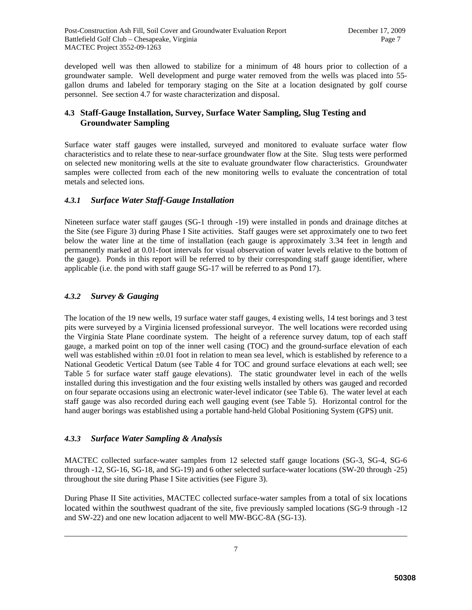developed well was then allowed to stabilize for a minimum of 48 hours prior to collection of a groundwater sample. Well development and purge water removed from the wells was placed into 55 gallon drums and labeled for temporary staging on the Site at a location designated by golf course personnel. See section 4.7 for waste characterization and disposal.

# **4.3 Staff-Gauge Installation, Survey, Surface Water Sampling, Slug Testing and Groundwater Sampling**

Surface water staff gauges were installed, surveyed and monitored to evaluate surface water flow characteristics and to relate these to near-surface groundwater flow at the Site. Slug tests were performed on selected new monitoring wells at the site to evaluate groundwater flow characteristics. Groundwater samples were collected from each of the new monitoring wells to evaluate the concentration of total metals and selected ions.

### *4.3.1 Surface Water Staff-Gauge Installation*

Nineteen surface water staff gauges (SG-1 through -19) were installed in ponds and drainage ditches at the Site (see Figure 3) during Phase I Site activities. Staff gauges were set approximately one to two feet below the water line at the time of installation (each gauge is approximately 3.34 feet in length and permanently marked at 0.01-foot intervals for visual observation of water levels relative to the bottom of the gauge). Ponds in this report will be referred to by their corresponding staff gauge identifier, where applicable (i.e. the pond with staff gauge SG-17 will be referred to as Pond 17).

# *4.3.2 Survey & Gauging*

The location of the 19 new wells, 19 surface water staff gauges, 4 existing wells, 14 test borings and 3 test pits were surveyed by a Virginia licensed professional surveyor. The well locations were recorded using the Virginia State Plane coordinate system. The height of a reference survey datum, top of each staff gauge, a marked point on top of the inner well casing (TOC) and the ground-surface elevation of each well was established within  $\pm 0.01$  foot in relation to mean sea level, which is established by reference to a National Geodetic Vertical Datum (see Table 4 for TOC and ground surface elevations at each well; see Table 5 for surface water staff gauge elevations). The static groundwater level in each of the wells installed during this investigation and the four existing wells installed by others was gauged and recorded on four separate occasions using an electronic water-level indicator (see Table 6). The water level at each staff gauge was also recorded during each well gauging event (see Table 5). Horizontal control for the hand auger borings was established using a portable hand-held Global Positioning System (GPS) unit.

# *4.3.3 Surface Water Sampling & Analysis*

MACTEC collected surface-water samples from 12 selected staff gauge locations (SG-3, SG-4, SG-6 through -12, SG-16, SG-18, and SG-19) and 6 other selected surface-water locations (SW-20 through -25) throughout the site during Phase I Site activities (see Figure 3).

During Phase II Site activities, MACTEC collected surface-water samples from a total of six locations located within the southwest quadrant of the site, five previously sampled locations (SG-9 through -12 and SW-22) and one new location adjacent to well MW-BGC-8A (SG-13).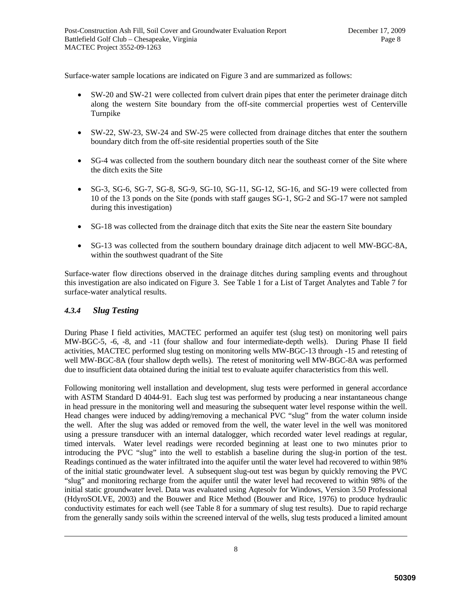Surface-water sample locations are indicated on Figure 3 and are summarized as follows:

- SW-20 and SW-21 were collected from culvert drain pipes that enter the perimeter drainage ditch along the western Site boundary from the off-site commercial properties west of Centerville Turnpike
- SW-22, SW-23, SW-24 and SW-25 were collected from drainage ditches that enter the southern boundary ditch from the off-site residential properties south of the Site
- SG-4 was collected from the southern boundary ditch near the southeast corner of the Site where the ditch exits the Site
- SG-3, SG-6, SG-7, SG-8, SG-9, SG-10, SG-11, SG-12, SG-16, and SG-19 were collected from 10 of the 13 ponds on the Site (ponds with staff gauges SG-1, SG-2 and SG-17 were not sampled during this investigation)
- SG-18 was collected from the drainage ditch that exits the Site near the eastern Site boundary
- SG-13 was collected from the southern boundary drainage ditch adjacent to well MW-BGC-8A, within the southwest quadrant of the Site

Surface-water flow directions observed in the drainage ditches during sampling events and throughout this investigation are also indicated on Figure 3. See Table 1 for a List of Target Analytes and Table 7 for surface-water analytical results.

# *4.3.4 Slug Testing*

During Phase I field activities, MACTEC performed an aquifer test (slug test) on monitoring well pairs MW-BGC-5, -6, -8, and -11 (four shallow and four intermediate-depth wells). During Phase II field activities, MACTEC performed slug testing on monitoring wells MW-BGC-13 through -15 and retesting of well MW-BGC-8A (four shallow depth wells). The retest of monitoring well MW-BGC-8A was performed due to insufficient data obtained during the initial test to evaluate aquifer characteristics from this well.

Following monitoring well installation and development, slug tests were performed in general accordance with ASTM Standard D 4044-91. Each slug test was performed by producing a near instantaneous change in head pressure in the monitoring well and measuring the subsequent water level response within the well. Head changes were induced by adding/removing a mechanical PVC "slug" from the water column inside the well. After the slug was added or removed from the well, the water level in the well was monitored using a pressure transducer with an internal datalogger, which recorded water level readings at regular, timed intervals. Water level readings were recorded beginning at least one to two minutes prior to introducing the PVC "slug" into the well to establish a baseline during the slug-in portion of the test. Readings continued as the water infiltrated into the aquifer until the water level had recovered to within 98% of the initial static groundwater level. A subsequent slug-out test was begun by quickly removing the PVC "slug" and monitoring recharge from the aquifer until the water level had recovered to within 98% of the initial static groundwater level. Data was evaluated using Aqtesolv for Windows, Version 3.50 Professional (HdyroSOLVE, 2003) and the Bouwer and Rice Method (Bouwer and Rice, 1976) to produce hydraulic conductivity estimates for each well (see Table 8 for a summary of slug test results). Due to rapid recharge from the generally sandy soils within the screened interval of the wells, slug tests produced a limited amount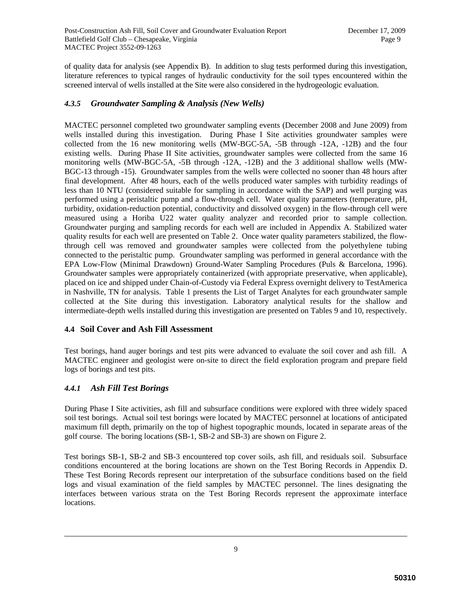of quality data for analysis (see Appendix B). In addition to slug tests performed during this investigation, literature references to typical ranges of hydraulic conductivity for the soil types encountered within the screened interval of wells installed at the Site were also considered in the hydrogeologic evaluation.

### *4.3.5 Groundwater Sampling & Analysis (New Wells)*

MACTEC personnel completed two groundwater sampling events (December 2008 and June 2009) from wells installed during this investigation. During Phase I Site activities groundwater samples were collected from the 16 new monitoring wells (MW-BGC-5A, -5B through -12A, -12B) and the four existing wells. During Phase II Site activities, groundwater samples were collected from the same 16 monitoring wells (MW-BGC-5A, -5B through -12A, -12B) and the 3 additional shallow wells (MW-BGC-13 through -15). Groundwater samples from the wells were collected no sooner than 48 hours after final development. After 48 hours, each of the wells produced water samples with turbidity readings of less than 10 NTU (considered suitable for sampling in accordance with the SAP) and well purging was performed using a peristaltic pump and a flow-through cell. Water quality parameters (temperature, pH, turbidity, oxidation-reduction potential, conductivity and dissolved oxygen) in the flow-through cell were measured using a Horiba U22 water quality analyzer and recorded prior to sample collection. Groundwater purging and sampling records for each well are included in Appendix A. Stabilized water quality results for each well are presented on Table 2. Once water quality parameters stabilized, the flowthrough cell was removed and groundwater samples were collected from the polyethylene tubing connected to the peristaltic pump. Groundwater sampling was performed in general accordance with the EPA Low-Flow (Minimal Drawdown) Ground-Water Sampling Procedures (Puls & Barcelona, 1996). Groundwater samples were appropriately containerized (with appropriate preservative, when applicable), placed on ice and shipped under Chain-of-Custody via Federal Express overnight delivery to TestAmerica in Nashville, TN for analysis. Table 1 presents the List of Target Analytes for each groundwater sample collected at the Site during this investigation. Laboratory analytical results for the shallow and intermediate-depth wells installed during this investigation are presented on Tables 9 and 10, respectively.

### **4.4 Soil Cover and Ash Fill Assessment**

Test borings, hand auger borings and test pits were advanced to evaluate the soil cover and ash fill. A MACTEC engineer and geologist were on-site to direct the field exploration program and prepare field logs of borings and test pits.

# *4.4.1 Ash Fill Test Borings*

During Phase I Site activities, ash fill and subsurface conditions were explored with three widely spaced soil test borings. Actual soil test borings were located by MACTEC personnel at locations of anticipated maximum fill depth, primarily on the top of highest topographic mounds, located in separate areas of the golf course. The boring locations (SB-1, SB-2 and SB-3) are shown on Figure 2.

Test borings SB-1, SB-2 and SB-3 encountered top cover soils, ash fill, and residuals soil. Subsurface conditions encountered at the boring locations are shown on the Test Boring Records in Appendix D. These Test Boring Records represent our interpretation of the subsurface conditions based on the field logs and visual examination of the field samples by MACTEC personnel. The lines designating the interfaces between various strata on the Test Boring Records represent the approximate interface locations.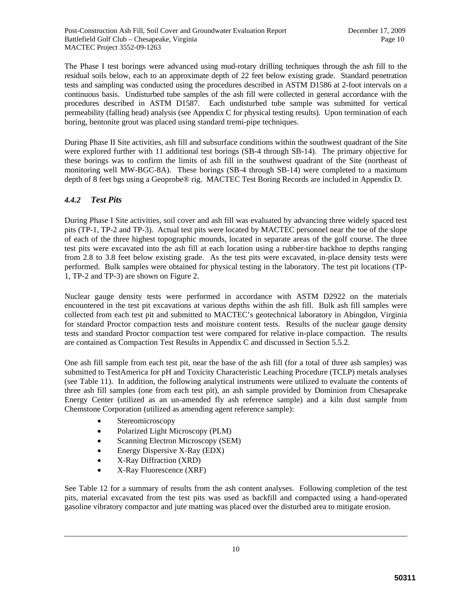The Phase I test borings were advanced using mud-rotary drilling techniques through the ash fill to the residual soils below, each to an approximate depth of 22 feet below existing grade. Standard penetration tests and sampling was conducted using the procedures described in ASTM D1586 at 2-foot intervals on a continuous basis. Undisturbed tube samples of the ash fill were collected in general accordance with the procedures described in ASTM D1587. Each undisturbed tube sample was submitted for vertical permeability (falling head) analysis (see Appendix C for physical testing results). Upon termination of each boring, bentonite grout was placed using standard tremi-pipe techniques.

During Phase II Site activities, ash fill and subsurface conditions within the southwest quadrant of the Site were explored further with 11 additional test borings (SB-4 through SB-14). The primary objective for these borings was to confirm the limits of ash fill in the southwest quadrant of the Site (northeast of monitoring well MW-BGC-8A). These borings (SB-4 through SB-14) were completed to a maximum depth of 8 feet bgs using a Geoprobe® rig. MACTEC Test Boring Records are included in Appendix D.

# *4.4.2 Test Pits*

During Phase I Site activities, soil cover and ash fill was evaluated by advancing three widely spaced test pits (TP-1, TP-2 and TP-3). Actual test pits were located by MACTEC personnel near the toe of the slope of each of the three highest topographic mounds, located in separate areas of the golf course. The three test pits were excavated into the ash fill at each location using a rubber-tire backhoe to depths ranging from 2.8 to 3.8 feet below existing grade. As the test pits were excavated, in-place density tests were performed. Bulk samples were obtained for physical testing in the laboratory. The test pit locations (TP-1, TP-2 and TP-3) are shown on Figure 2.

Nuclear gauge density tests were performed in accordance with ASTM D2922 on the materials encountered in the test pit excavations at various depths within the ash fill. Bulk ash fill samples were collected from each test pit and submitted to MACTEC's geotechnical laboratory in Abingdon, Virginia for standard Proctor compaction tests and moisture content tests. Results of the nuclear gauge density tests and standard Proctor compaction test were compared for relative in-place compaction. The results are contained as Compaction Test Results in Appendix C and discussed in Section 5.5.2.

One ash fill sample from each test pit, near the base of the ash fill (for a total of three ash samples) was submitted to TestAmerica for pH and Toxicity Characteristic Leaching Procedure (TCLP) metals analyses (see Table 11). In addition, the following analytical instruments were utilized to evaluate the contents of three ash fill samples (one from each test pit), an ash sample provided by Dominion from Chesapeake Energy Center (utilized as an un-amended fly ash reference sample) and a kiln dust sample from Chemstone Corporation (utilized as amending agent reference sample):

- Stereomicroscopy
- Polarized Light Microscopy (PLM)
- Scanning Electron Microscopy (SEM)
- Energy Dispersive X-Ray (EDX)
- X-Ray Diffraction (XRD)
- X-Ray Fluorescence (XRF)

See Table 12 for a summary of results from the ash content analyses. Following completion of the test pits, material excavated from the test pits was used as backfill and compacted using a hand-operated gasoline vibratory compactor and jute matting was placed over the disturbed area to mitigate erosion.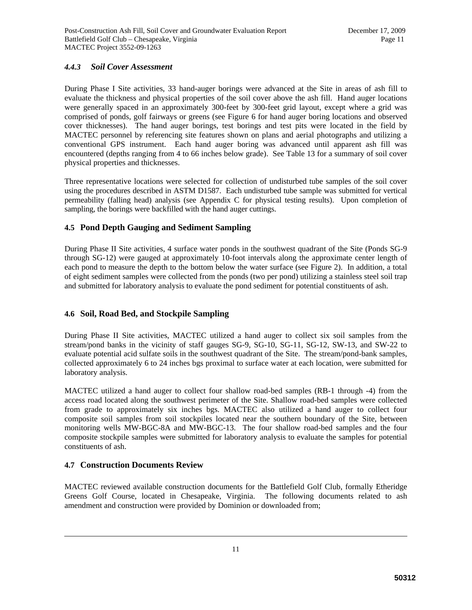### *4.4.3 Soil Cover Assessment*

During Phase I Site activities, 33 hand-auger borings were advanced at the Site in areas of ash fill to evaluate the thickness and physical properties of the soil cover above the ash fill. Hand auger locations were generally spaced in an approximately 300-feet by 300-feet grid layout, except where a grid was comprised of ponds, golf fairways or greens (see Figure 6 for hand auger boring locations and observed cover thicknesses). The hand auger borings, test borings and test pits were located in the field by MACTEC personnel by referencing site features shown on plans and aerial photographs and utilizing a conventional GPS instrument. Each hand auger boring was advanced until apparent ash fill was encountered (depths ranging from 4 to 66 inches below grade). See Table 13 for a summary of soil cover physical properties and thicknesses.

Three representative locations were selected for collection of undisturbed tube samples of the soil cover using the procedures described in ASTM D1587. Each undisturbed tube sample was submitted for vertical permeability (falling head) analysis (see Appendix C for physical testing results). Upon completion of sampling, the borings were backfilled with the hand auger cuttings.

# **4.5 Pond Depth Gauging and Sediment Sampling**

During Phase II Site activities, 4 surface water ponds in the southwest quadrant of the Site (Ponds SG-9 through SG-12) were gauged at approximately 10-foot intervals along the approximate center length of each pond to measure the depth to the bottom below the water surface (see Figure 2). In addition, a total of eight sediment samples were collected from the ponds (two per pond) utilizing a stainless steel soil trap and submitted for laboratory analysis to evaluate the pond sediment for potential constituents of ash.

# **4.6 Soil, Road Bed, and Stockpile Sampling**

During Phase II Site activities, MACTEC utilized a hand auger to collect six soil samples from the stream/pond banks in the vicinity of staff gauges SG-9, SG-10, SG-11, SG-12, SW-13, and SW-22 to evaluate potential acid sulfate soils in the southwest quadrant of the Site. The stream/pond-bank samples, collected approximately 6 to 24 inches bgs proximal to surface water at each location, were submitted for laboratory analysis.

MACTEC utilized a hand auger to collect four shallow road-bed samples (RB-1 through -4) from the access road located along the southwest perimeter of the Site. Shallow road-bed samples were collected from grade to approximately six inches bgs. MACTEC also utilized a hand auger to collect four composite soil samples from soil stockpiles located near the southern boundary of the Site, between monitoring wells MW-BGC-8A and MW-BGC-13. The four shallow road-bed samples and the four composite stockpile samples were submitted for laboratory analysis to evaluate the samples for potential constituents of ash.

### **4.7 Construction Documents Review**

MACTEC reviewed available construction documents for the Battlefield Golf Club, formally Etheridge Greens Golf Course, located in Chesapeake, Virginia. The following documents related to ash amendment and construction were provided by Dominion or downloaded from;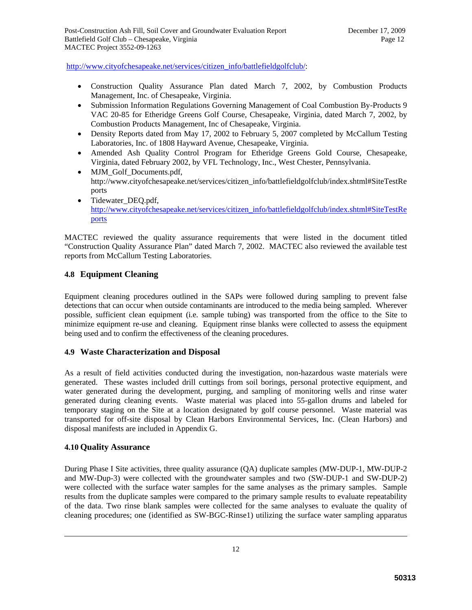http://www.cityofchesapeake.net/services/citizen\_info/battlefieldgolfclub/:

- Construction Quality Assurance Plan dated March 7, 2002, by Combustion Products Management, Inc. of Chesapeake, Virginia.
- Submission Information Regulations Governing Management of Coal Combustion By-Products 9 VAC 20-85 for Etheridge Greens Golf Course, Chesapeake, Virginia, dated March 7, 2002, by Combustion Products Management, Inc of Chesapeake, Virginia.
- Density Reports dated from May 17, 2002 to February 5, 2007 completed by McCallum Testing Laboratories, Inc. of 1808 Hayward Avenue, Chesapeake, Virginia.
- Amended Ash Quality Control Program for Etheridge Greens Gold Course, Chesapeake, Virginia, dated February 2002, by VFL Technology, Inc., West Chester, Pennsylvania.
- MJM Golf Documents.pdf, http://www.cityofchesapeake.net/services/citizen\_info/battlefieldgolfclub/index.shtml#SiteTestRe ports
- Tidewater DEO.pdf, http://www.cityofchesapeake.net/services/citizen\_info/battlefieldgolfclub/index.shtml#SiteTestRe ports

MACTEC reviewed the quality assurance requirements that were listed in the document titled "Construction Quality Assurance Plan" dated March 7, 2002. MACTEC also reviewed the available test reports from McCallum Testing Laboratories.

### **4.8 Equipment Cleaning**

Equipment cleaning procedures outlined in the SAPs were followed during sampling to prevent false detections that can occur when outside contaminants are introduced to the media being sampled. Wherever possible, sufficient clean equipment (i.e. sample tubing) was transported from the office to the Site to minimize equipment re-use and cleaning. Equipment rinse blanks were collected to assess the equipment being used and to confirm the effectiveness of the cleaning procedures.

### **4.9 Waste Characterization and Disposal**

As a result of field activities conducted during the investigation, non-hazardous waste materials were generated. These wastes included drill cuttings from soil borings, personal protective equipment, and water generated during the development, purging, and sampling of monitoring wells and rinse water generated during cleaning events. Waste material was placed into 55-gallon drums and labeled for temporary staging on the Site at a location designated by golf course personnel. Waste material was transported for off-site disposal by Clean Harbors Environmental Services, Inc. (Clean Harbors) and disposal manifests are included in Appendix G.

### **4.10 Quality Assurance**

During Phase I Site activities, three quality assurance (QA) duplicate samples (MW-DUP-1, MW-DUP-2 and MW-Dup-3) were collected with the groundwater samples and two (SW-DUP-1 and SW-DUP-2) were collected with the surface water samples for the same analyses as the primary samples. Sample results from the duplicate samples were compared to the primary sample results to evaluate repeatability of the data. Two rinse blank samples were collected for the same analyses to evaluate the quality of cleaning procedures; one (identified as SW-BGC-Rinse1) utilizing the surface water sampling apparatus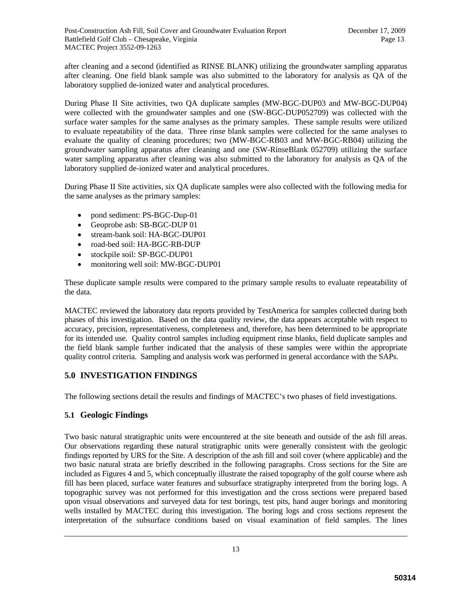after cleaning and a second (identified as RINSE BLANK) utilizing the groundwater sampling apparatus after cleaning. One field blank sample was also submitted to the laboratory for analysis as QA of the laboratory supplied de-ionized water and analytical procedures.

During Phase II Site activities, two QA duplicate samples (MW-BGC-DUP03 and MW-BGC-DUP04) were collected with the groundwater samples and one (SW-BGC-DUP052709) was collected with the surface water samples for the same analyses as the primary samples. These sample results were utilized to evaluate repeatability of the data. Three rinse blank samples were collected for the same analyses to evaluate the quality of cleaning procedures; two (MW-BGC-RB03 and MW-BGC-RB04) utilizing the groundwater sampling apparatus after cleaning and one (SW-RinseBlank 052709) utilizing the surface water sampling apparatus after cleaning was also submitted to the laboratory for analysis as QA of the laboratory supplied de-ionized water and analytical procedures.

During Phase II Site activities, six QA duplicate samples were also collected with the following media for the same analyses as the primary samples:

- pond sediment: PS-BGC-Dup-01
- Geoprobe ash: SB-BGC-DUP 01
- stream-bank soil: HA-BGC-DUP01
- road-bed soil: HA-BGC-RB-DUP
- stockpile soil: SP-BGC-DUP01
- monitoring well soil: MW-BGC-DUP01

These duplicate sample results were compared to the primary sample results to evaluate repeatability of the data.

MACTEC reviewed the laboratory data reports provided by TestAmerica for samples collected during both phases of this investigation. Based on the data quality review, the data appears acceptable with respect to accuracy, precision, representativeness, completeness and, therefore, has been determined to be appropriate for its intended use. Quality control samples including equipment rinse blanks, field duplicate samples and the field blank sample further indicated that the analysis of these samples were within the appropriate quality control criteria. Sampling and analysis work was performed in general accordance with the SAPs.

# **5.0 INVESTIGATION FINDINGS**

The following sections detail the results and findings of MACTEC's two phases of field investigations.

# **5.1 Geologic Findings**

Two basic natural stratigraphic units were encountered at the site beneath and outside of the ash fill areas. Our observations regarding these natural stratigraphic units were generally consistent with the geologic findings reported by URS for the Site. A description of the ash fill and soil cover (where applicable) and the two basic natural strata are briefly described in the following paragraphs. Cross sections for the Site are included as Figures 4 and 5, which conceptually illustrate the raised topography of the golf course where ash fill has been placed, surface water features and subsurface stratigraphy interpreted from the boring logs. A topographic survey was not performed for this investigation and the cross sections were prepared based upon visual observations and surveyed data for test borings, test pits, hand auger borings and monitoring wells installed by MACTEC during this investigation. The boring logs and cross sections represent the interpretation of the subsurface conditions based on visual examination of field samples. The lines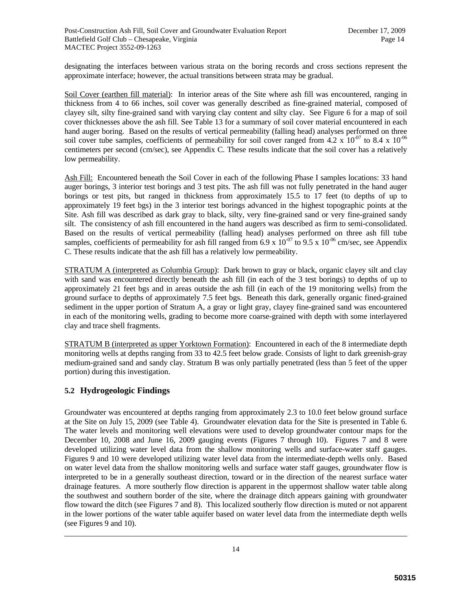designating the interfaces between various strata on the boring records and cross sections represent the approximate interface; however, the actual transitions between strata may be gradual.

Soil Cover (earthen fill material): In interior areas of the Site where ash fill was encountered, ranging in thickness from 4 to 66 inches, soil cover was generally described as fine-grained material, composed of clayey silt, silty fine-grained sand with varying clay content and silty clay. See Figure 6 for a map of soil cover thicknesses above the ash fill. See Table 13 for a summary of soil cover material encountered in each hand auger boring. Based on the results of vertical permeability (falling head) analyses performed on three soil cover tube samples, coefficients of permeability for soil cover ranged from 4.2 x  $10^{-07}$  to 8.4 x  $10^{-06}$ centimeters per second (cm/sec), see Appendix C. These results indicate that the soil cover has a relatively low permeability.

Ash Fill: Encountered beneath the Soil Cover in each of the following Phase I samples locations: 33 hand auger borings, 3 interior test borings and 3 test pits. The ash fill was not fully penetrated in the hand auger borings or test pits, but ranged in thickness from approximately 15.5 to 17 feet (to depths of up to approximately 19 feet bgs) in the 3 interior test borings advanced in the highest topographic points at the Site. Ash fill was described as dark gray to black, silty, very fine-grained sand or very fine-grained sandy silt. The consistency of ash fill encountered in the hand augers was described as firm to semi-consolidated. Based on the results of vertical permeability (falling head) analyses performed on three ash fill tube samples, coefficients of permeability for ash fill ranged from 6.9 x  $10^{-07}$  to 9.5 x  $10^{-06}$  cm/sec, see Appendix C. These results indicate that the ash fill has a relatively low permeability.

STRATUM A (interpreted as Columbia Group): Dark brown to gray or black, organic clayey silt and clay with sand was encountered directly beneath the ash fill (in each of the 3 test borings) to depths of up to approximately 21 feet bgs and in areas outside the ash fill (in each of the 19 monitoring wells) from the ground surface to depths of approximately 7.5 feet bgs. Beneath this dark, generally organic fined-grained sediment in the upper portion of Stratum A, a gray or light gray, clayey fine-grained sand was encountered in each of the monitoring wells, grading to become more coarse-grained with depth with some interlayered clay and trace shell fragments.

STRATUM B (interpreted as upper Yorktown Formation): Encountered in each of the 8 intermediate depth monitoring wells at depths ranging from 33 to 42.5 feet below grade. Consists of light to dark greenish-gray medium-grained sand and sandy clay. Stratum B was only partially penetrated (less than 5 feet of the upper portion) during this investigation.

# **5.2 Hydrogeologic Findings**

Groundwater was encountered at depths ranging from approximately 2.3 to 10.0 feet below ground surface at the Site on July 15, 2009 (see Table 4). Groundwater elevation data for the Site is presented in Table 6. The water levels and monitoring well elevations were used to develop groundwater contour maps for the December 10, 2008 and June 16, 2009 gauging events (Figures 7 through 10). Figures 7 and 8 were developed utilizing water level data from the shallow monitoring wells and surface-water staff gauges. Figures 9 and 10 were developed utilizing water level data from the intermediate-depth wells only. Based on water level data from the shallow monitoring wells and surface water staff gauges, groundwater flow is interpreted to be in a generally southeast direction, toward or in the direction of the nearest surface water drainage features. A more southerly flow direction is apparent in the uppermost shallow water table along the southwest and southern border of the site, where the drainage ditch appears gaining with groundwater flow toward the ditch (see Figures 7 and 8). This localized southerly flow direction is muted or not apparent in the lower portions of the water table aquifer based on water level data from the intermediate depth wells (see Figures 9 and 10).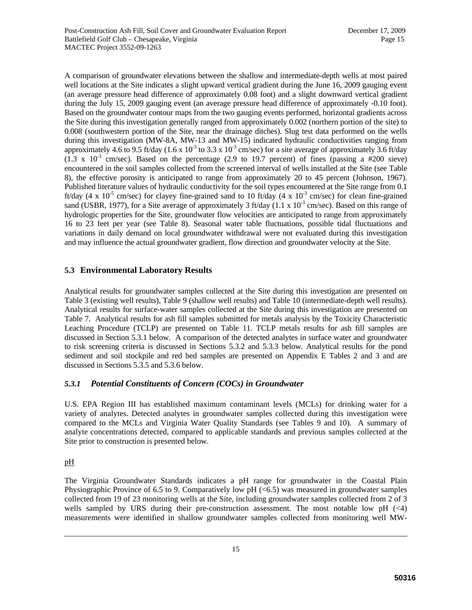A comparison of groundwater elevations between the shallow and intermediate-depth wells at most paired well locations at the Site indicates a slight upward vertical gradient during the June 16, 2009 gauging event (an average pressure head difference of approximately 0.08 foot) and a slight downward vertical gradient during the July 15, 2009 gauging event (an average pressure head difference of approximately -0.10 foot). Based on the groundwater contour maps from the two gauging events performed, horizontal gradients across the Site during this investigation generally ranged from approximately 0.002 (northern portion of the site) to 0.008 (southwestern portion of the Site, near the drainage ditches). Slug test data performed on the wells during this investigation (MW-8A, MW-13 and MW-15) indicated hydraulic conductivities ranging from approximately 4.6 to 9.5 ft/day (1.6 x  $10^{-3}$  to 3.3 x  $10^{-3}$  cm/sec) for a site average of approximately 3.6 ft/day  $(1.3 \times 10^{-3} \text{ cm/sec})$ . Based on the percentage  $(2.9 \text{ to } 19.7 \text{ percent})$  of fines (passing a #200 sieve) encountered in the soil samples collected from the screened interval of wells installed at the Site (see Table 8), the effective porosity is anticipated to range from approximately 20 to 45 percent (Johnson, 1967). Published literature values of hydraulic conductivity for the soil types encountered at the Site range from 0.1 ft/day (4 x  $10^{-5}$  cm/sec) for clayey fine-grained sand to 10 ft/day (4 x  $10^{-3}$  cm/sec) for clean fine-grained sand (USBR, 1977), for a Site average of approximately 3 ft/day (1.1 x  $10^{-3}$  cm/sec). Based on this range of hydrologic properties for the Site, groundwater flow velocities are anticipated to range from approximately 16 to 23 feet per year (see Table 8). Seasonal water table fluctuations, possible tidal fluctuations and variations in daily demand on local groundwater withdrawal were not evaluated during this investigation and may influence the actual groundwater gradient, flow direction and groundwater velocity at the Site.

### **5.3 Environmental Laboratory Results**

Analytical results for groundwater samples collected at the Site during this investigation are presented on Table 3 (existing well results), Table 9 (shallow well results) and Table 10 (intermediate-depth well results). Analytical results for surface-water samples collected at the Site during this investigation are presented on Table 7. Analytical results for ash fill samples submitted for metals analysis by the Toxicity Characteristic Leaching Procedure (TCLP) are presented on Table 11. TCLP metals results for ash fill samples are discussed in Section 5.3.1 below. A comparison of the detected analytes in surface water and groundwater to risk screening criteria is discussed in Sections 5.3.2 and 5.3.3 below. Analytical results for the pond sediment and soil stockpile and red bed samples are presented on Appendix E Tables 2 and 3 and are discussed in Sections 5.3.5 and 5.3.6 below.

### *5.3.1 Potential Constituents of Concern (COCs) in Groundwater*

U.S. EPA Region III has established maximum contaminant levels (MCLs) for drinking water for a variety of analytes. Detected analytes in groundwater samples collected during this investigation were compared to the MCLs and Virginia Water Quality Standards (see Tables 9 and 10). A summary of analyte concentrations detected, compared to applicable standards and previous samples collected at the Site prior to construction is presented below.

### pH

The Virginia Groundwater Standards indicates a pH range for groundwater in the Coastal Plain Physiographic Province of 6.5 to 9. Comparatively low pH (<6.5) was measured in groundwater samples collected from 19 of 23 monitoring wells at the Site, including groundwater samples collected from 2 of 3 wells sampled by URS during their pre-construction assessment. The most notable low  $pH$  ( $\lt 4$ ) measurements were identified in shallow groundwater samples collected from monitoring well MW-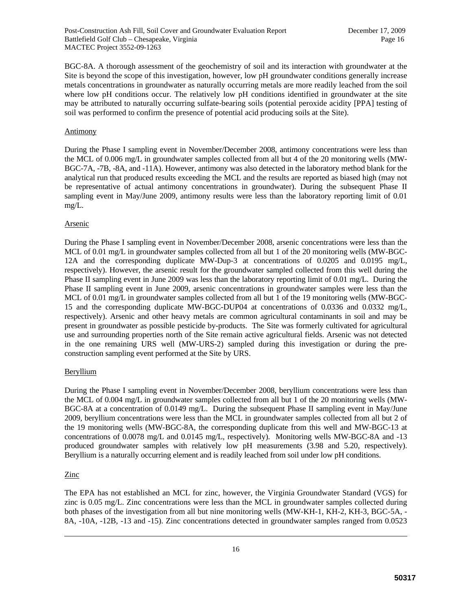BGC-8A. A thorough assessment of the geochemistry of soil and its interaction with groundwater at the Site is beyond the scope of this investigation, however, low pH groundwater conditions generally increase metals concentrations in groundwater as naturally occurring metals are more readily leached from the soil where low pH conditions occur. The relatively low pH conditions identified in groundwater at the site may be attributed to naturally occurring sulfate-bearing soils (potential peroxide acidity [PPA] testing of soil was performed to confirm the presence of potential acid producing soils at the Site).

#### **Antimony**

During the Phase I sampling event in November/December 2008, antimony concentrations were less than the MCL of 0.006 mg/L in groundwater samples collected from all but 4 of the 20 monitoring wells (MW-BGC-7A, -7B, -8A, and -11A). However, antimony was also detected in the laboratory method blank for the analytical run that produced results exceeding the MCL and the results are reported as biased high (may not be representative of actual antimony concentrations in groundwater). During the subsequent Phase II sampling event in May/June 2009, antimony results were less than the laboratory reporting limit of 0.01 mg/L.

#### **Arsenic**

During the Phase I sampling event in November/December 2008, arsenic concentrations were less than the MCL of 0.01 mg/L in groundwater samples collected from all but 1 of the 20 monitoring wells (MW-BGC-12A and the corresponding duplicate MW-Dup-3 at concentrations of 0.0205 and 0.0195 mg/L, respectively). However, the arsenic result for the groundwater sampled collected from this well during the Phase II sampling event in June 2009 was less than the laboratory reporting limit of 0.01 mg/L. During the Phase II sampling event in June 2009, arsenic concentrations in groundwater samples were less than the MCL of 0.01 mg/L in groundwater samples collected from all but 1 of the 19 monitoring wells (MW-BGC-15 and the corresponding duplicate MW-BGC-DUP04 at concentrations of 0.0336 and 0.0332 mg/L, respectively). Arsenic and other heavy metals are common agricultural contaminants in soil and may be present in groundwater as possible pesticide by-products. The Site was formerly cultivated for agricultural use and surrounding properties north of the Site remain active agricultural fields. Arsenic was not detected in the one remaining URS well (MW-URS-2) sampled during this investigation or during the preconstruction sampling event performed at the Site by URS.

#### Beryllium

During the Phase I sampling event in November/December 2008, beryllium concentrations were less than the MCL of 0.004 mg/L in groundwater samples collected from all but 1 of the 20 monitoring wells (MW-BGC-8A at a concentration of 0.0149 mg/L. During the subsequent Phase II sampling event in May/June 2009, beryllium concentrations were less than the MCL in groundwater samples collected from all but 2 of the 19 monitoring wells (MW-BGC-8A, the corresponding duplicate from this well and MW-BGC-13 at concentrations of 0.0078 mg/L and 0.0145 mg/L, respectively). Monitoring wells MW-BGC-8A and -13 produced groundwater samples with relatively low pH measurements (3.98 and 5.20, respectively). Beryllium is a naturally occurring element and is readily leached from soil under low pH conditions.

### **Zinc**

The EPA has not established an MCL for zinc, however, the Virginia Groundwater Standard (VGS) for zinc is 0.05 mg/L. Zinc concentrations were less than the MCL in groundwater samples collected during both phases of the investigation from all but nine monitoring wells (MW-KH-1, KH-2, KH-3, BGC-5A, - 8A, -10A, -12B, -13 and -15). Zinc concentrations detected in groundwater samples ranged from 0.0523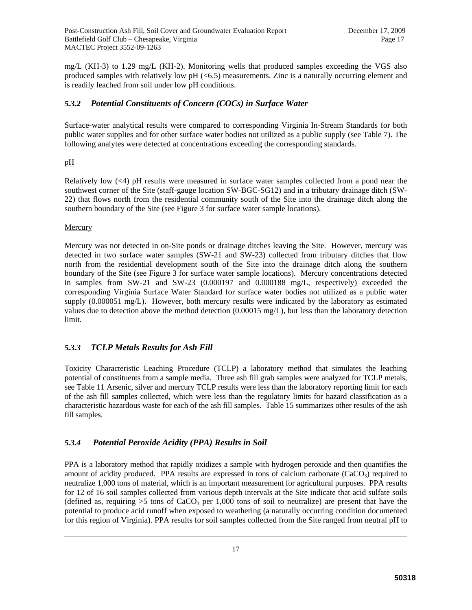mg/L (KH-3) to 1.29 mg/L (KH-2). Monitoring wells that produced samples exceeding the VGS also produced samples with relatively low pH (<6.5) measurements. Zinc is a naturally occurring element and is readily leached from soil under low pH conditions.

### *5.3.2 Potential Constituents of Concern (COCs) in Surface Water*

Surface-water analytical results were compared to corresponding Virginia In-Stream Standards for both public water supplies and for other surface water bodies not utilized as a public supply (see Table 7). The following analytes were detected at concentrations exceeding the corresponding standards.

### pH

Relatively low (<4) pH results were measured in surface water samples collected from a pond near the southwest corner of the Site (staff-gauge location SW-BGC-SG12) and in a tributary drainage ditch (SW-22) that flows north from the residential community south of the Site into the drainage ditch along the southern boundary of the Site (see Figure 3 for surface water sample locations).

#### **Mercury**

Mercury was not detected in on-Site ponds or drainage ditches leaving the Site. However, mercury was detected in two surface water samples (SW-21 and SW-23) collected from tributary ditches that flow north from the residential development south of the Site into the drainage ditch along the southern boundary of the Site (see Figure 3 for surface water sample locations). Mercury concentrations detected in samples from SW-21 and SW-23 (0.000197 and 0.000188 mg/L, respectively) exceeded the corresponding Virginia Surface Water Standard for surface water bodies not utilized as a public water supply (0.000051 mg/L). However, both mercury results were indicated by the laboratory as estimated values due to detection above the method detection (0.00015 mg/L), but less than the laboratory detection limit.

### *5.3.3 TCLP Metals Results for Ash Fill*

Toxicity Characteristic Leaching Procedure (TCLP) a laboratory method that simulates the leaching potential of constituents from a sample media. Three ash fill grab samples were analyzed for TCLP metals, see Table 11 Arsenic, silver and mercury TCLP results were less than the laboratory reporting limit for each of the ash fill samples collected, which were less than the regulatory limits for hazard classification as a characteristic hazardous waste for each of the ash fill samples. Table 15 summarizes other results of the ash fill samples.

# *5.3.4 Potential Peroxide Acidity (PPA) Results in Soil*

PPA is a laboratory method that rapidly oxidizes a sample with hydrogen peroxide and then quantifies the amount of acidity produced. PPA results are expressed in tons of calcium carbonate (CaCO<sub>3</sub>) required to neutralize 1,000 tons of material, which is an important measurement for agricultural purposes. PPA results for 12 of 16 soil samples collected from various depth intervals at the Site indicate that acid sulfate soils (defined as, requiring  $>5$  tons of CaCO<sub>3</sub> per 1,000 tons of soil to neutralize) are present that have the potential to produce acid runoff when exposed to weathering (a naturally occurring condition documented for this region of Virginia). PPA results for soil samples collected from the Site ranged from neutral pH to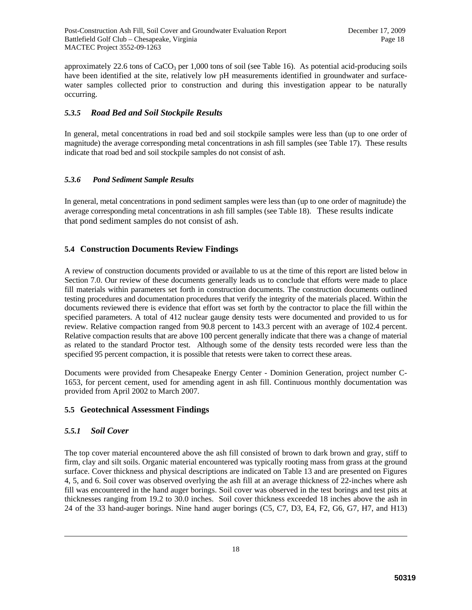approximately 22.6 tons of  $CaCO<sub>3</sub>$  per 1,000 tons of soil (see Table 16). As potential acid-producing soils have been identified at the site, relatively low pH measurements identified in groundwater and surfacewater samples collected prior to construction and during this investigation appear to be naturally occurring.

### *5.3.5 Road Bed and Soil Stockpile Results*

In general, metal concentrations in road bed and soil stockpile samples were less than (up to one order of magnitude) the average corresponding metal concentrations in ash fill samples (see Table 17). These results indicate that road bed and soil stockpile samples do not consist of ash.

### *5.3.6 Pond Sediment Sample Results*

In general, metal concentrations in pond sediment samples were less than (up to one order of magnitude) the average corresponding metal concentrations in ash fill samples (see Table 18). These results indicate that pond sediment samples do not consist of ash.

# **5.4 Construction Documents Review Findings**

A review of construction documents provided or available to us at the time of this report are listed below in Section 7.0. Our review of these documents generally leads us to conclude that efforts were made to place fill materials within parameters set forth in construction documents. The construction documents outlined testing procedures and documentation procedures that verify the integrity of the materials placed. Within the documents reviewed there is evidence that effort was set forth by the contractor to place the fill within the specified parameters. A total of 412 nuclear gauge density tests were documented and provided to us for review. Relative compaction ranged from 90.8 percent to 143.3 percent with an average of 102.4 percent. Relative compaction results that are above 100 percent generally indicate that there was a change of material as related to the standard Proctor test. Although some of the density tests recorded were less than the specified 95 percent compaction, it is possible that retests were taken to correct these areas.

Documents were provided from Chesapeake Energy Center - Dominion Generation, project number C-1653, for percent cement, used for amending agent in ash fill. Continuous monthly documentation was provided from April 2002 to March 2007.

### **5.5 Geotechnical Assessment Findings**

### *5.5.1 Soil Cover*

The top cover material encountered above the ash fill consisted of brown to dark brown and gray, stiff to firm, clay and silt soils. Organic material encountered was typically rooting mass from grass at the ground surface. Cover thickness and physical descriptions are indicated on Table 13 and are presented on Figures 4, 5, and 6. Soil cover was observed overlying the ash fill at an average thickness of 22-inches where ash fill was encountered in the hand auger borings. Soil cover was observed in the test borings and test pits at thicknesses ranging from 19.2 to 30.0 inches. Soil cover thickness exceeded 18 inches above the ash in 24 of the 33 hand-auger borings. Nine hand auger borings (C5, C7, D3, E4, F2, G6, G7, H7, and H13)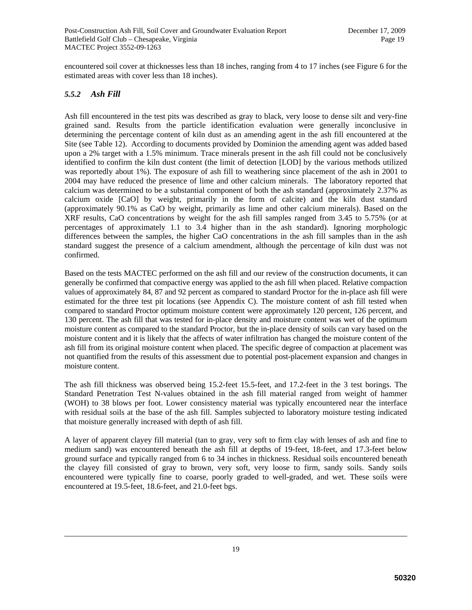encountered soil cover at thicknesses less than 18 inches, ranging from 4 to 17 inches (see Figure 6 for the estimated areas with cover less than 18 inches).

#### *5.5.2 Ash Fill*

Ash fill encountered in the test pits was described as gray to black, very loose to dense silt and very-fine grained sand. Results from the particle identification evaluation were generally inconclusive in determining the percentage content of kiln dust as an amending agent in the ash fill encountered at the Site (see Table 12). According to documents provided by Dominion the amending agent was added based upon a 2% target with a 1.5% minimum. Trace minerals present in the ash fill could not be conclusively identified to confirm the kiln dust content (the limit of detection [LOD] by the various methods utilized was reportedly about 1%). The exposure of ash fill to weathering since placement of the ash in 2001 to 2004 may have reduced the presence of lime and other calcium minerals. The laboratory reported that calcium was determined to be a substantial component of both the ash standard (approximately 2.37% as calcium oxide [CaO] by weight, primarily in the form of calcite) and the kiln dust standard (approximately 90.1% as CaO by weight, primarily as lime and other calcium minerals). Based on the XRF results, CaO concentrations by weight for the ash fill samples ranged from 3.45 to 5.75% (or at percentages of approximately 1.1 to 3.4 higher than in the ash standard). Ignoring morphologic differences between the samples, the higher CaO concentrations in the ash fill samples than in the ash standard suggest the presence of a calcium amendment, although the percentage of kiln dust was not confirmed.

Based on the tests MACTEC performed on the ash fill and our review of the construction documents, it can generally be confirmed that compactive energy was applied to the ash fill when placed. Relative compaction values of approximately 84, 87 and 92 percent as compared to standard Proctor for the in-place ash fill were estimated for the three test pit locations (see Appendix C). The moisture content of ash fill tested when compared to standard Proctor optimum moisture content were approximately 120 percent, 126 percent, and 130 percent. The ash fill that was tested for in-place density and moisture content was wet of the optimum moisture content as compared to the standard Proctor, but the in-place density of soils can vary based on the moisture content and it is likely that the affects of water infiltration has changed the moisture content of the ash fill from its original moisture content when placed. The specific degree of compaction at placement was not quantified from the results of this assessment due to potential post-placement expansion and changes in moisture content.

The ash fill thickness was observed being 15.2-feet 15.5-feet, and 17.2-feet in the 3 test borings. The Standard Penetration Test N-values obtained in the ash fill material ranged from weight of hammer (WOH) to 38 blows per foot. Lower consistency material was typically encountered near the interface with residual soils at the base of the ash fill. Samples subjected to laboratory moisture testing indicated that moisture generally increased with depth of ash fill.

A layer of apparent clayey fill material (tan to gray, very soft to firm clay with lenses of ash and fine to medium sand) was encountered beneath the ash fill at depths of 19-feet, 18-feet, and 17.3-feet below ground surface and typically ranged from 6 to 34 inches in thickness. Residual soils encountered beneath the clayey fill consisted of gray to brown, very soft, very loose to firm, sandy soils. Sandy soils encountered were typically fine to coarse, poorly graded to well-graded, and wet. These soils were encountered at 19.5-feet, 18.6-feet, and 21.0-feet bgs.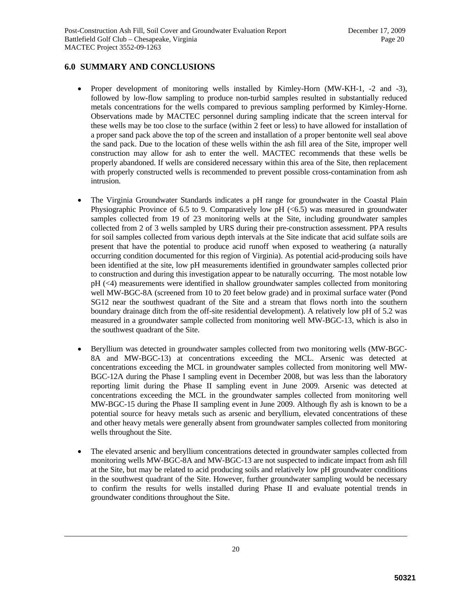### **6.0 SUMMARY AND CONCLUSIONS**

- Proper development of monitoring wells installed by Kimley-Horn (MW-KH-1, -2 and -3), followed by low-flow sampling to produce non-turbid samples resulted in substantially reduced metals concentrations for the wells compared to previous sampling performed by Kimley-Horne. Observations made by MACTEC personnel during sampling indicate that the screen interval for these wells may be too close to the surface (within 2 feet or less) to have allowed for installation of a proper sand pack above the top of the screen and installation of a proper bentonite well seal above the sand pack. Due to the location of these wells within the ash fill area of the Site, improper well construction may allow for ash to enter the well. MACTEC recommends that these wells be properly abandoned. If wells are considered necessary within this area of the Site, then replacement with properly constructed wells is recommended to prevent possible cross-contamination from ash intrusion.
- The Virginia Groundwater Standards indicates a pH range for groundwater in the Coastal Plain Physiographic Province of 6.5 to 9. Comparatively low pH  $\ll 6.5$ ) was measured in groundwater samples collected from 19 of 23 monitoring wells at the Site, including groundwater samples collected from 2 of 3 wells sampled by URS during their pre-construction assessment. PPA results for soil samples collected from various depth intervals at the Site indicate that acid sulfate soils are present that have the potential to produce acid runoff when exposed to weathering (a naturally occurring condition documented for this region of Virginia). As potential acid-producing soils have been identified at the site, low pH measurements identified in groundwater samples collected prior to construction and during this investigation appear to be naturally occurring. The most notable low pH (<4) measurements were identified in shallow groundwater samples collected from monitoring well MW-BGC-8A (screened from 10 to 20 feet below grade) and in proximal surface water (Pond SG12 near the southwest quadrant of the Site and a stream that flows north into the southern boundary drainage ditch from the off-site residential development). A relatively low pH of 5.2 was measured in a groundwater sample collected from monitoring well MW-BGC-13, which is also in the southwest quadrant of the Site.
- Beryllium was detected in groundwater samples collected from two monitoring wells (MW-BGC-8A and MW-BGC-13) at concentrations exceeding the MCL. Arsenic was detected at concentrations exceeding the MCL in groundwater samples collected from monitoring well MW-BGC-12A during the Phase I sampling event in December 2008, but was less than the laboratory reporting limit during the Phase II sampling event in June 2009. Arsenic was detected at concentrations exceeding the MCL in the groundwater samples collected from monitoring well MW-BGC-15 during the Phase II sampling event in June 2009. Although fly ash is known to be a potential source for heavy metals such as arsenic and beryllium, elevated concentrations of these and other heavy metals were generally absent from groundwater samples collected from monitoring wells throughout the Site.
- The elevated arsenic and beryllium concentrations detected in groundwater samples collected from monitoring wells MW-BGC-8A and MW-BGC-13 are not suspected to indicate impact from ash fill at the Site, but may be related to acid producing soils and relatively low pH groundwater conditions in the southwest quadrant of the Site. However, further groundwater sampling would be necessary to confirm the results for wells installed during Phase II and evaluate potential trends in groundwater conditions throughout the Site.